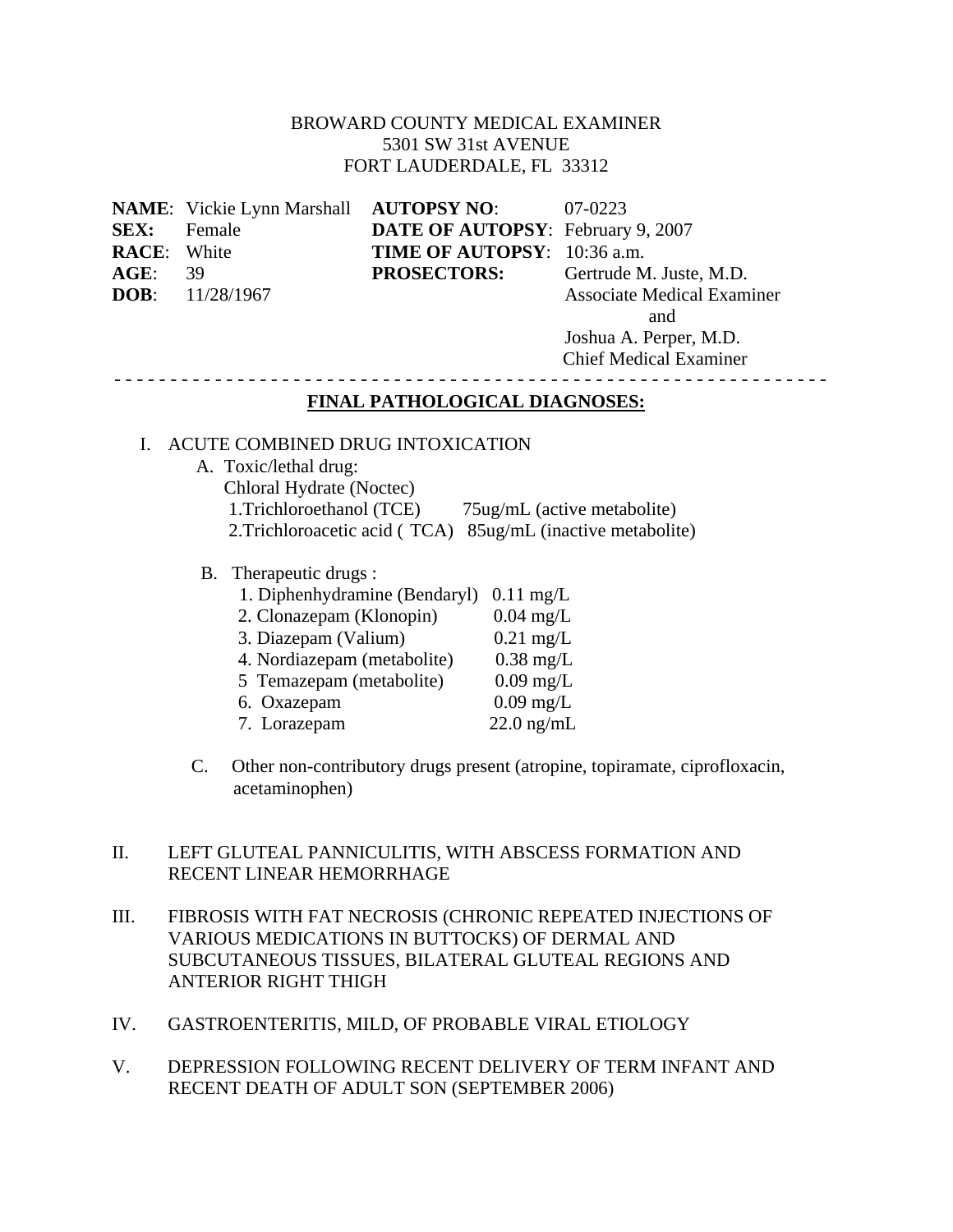#### BROWARD COUNTY MEDICAL EXAMINER 5301 SW 31st AVENUE FORT LAUDERDALE, FL 33312

**NAME**: Vickie Lynn Marshall **AUTOPSY NO**: 07-0223 **SEX:** Female **DATE OF AUTOPSY**: February 9, 2007 **RACE**: White **TIME OF AUTOPSY**: 10:36 a.m. **AGE**: 39 **PROSECTORS:** Gertrude M. Juste, M.D.

**DOB:**  $11/28/1967$  Associate Medical Examiner and Joshua A. Perper, M.D. Chief Medical Examiner

----------------------------------------------------------------

### **FINAL PATHOLOGICAL DIAGNOSES:**

- I. ACUTE COMBINED DRUG INTOXICATION
	- A. Toxic/lethal drug:

Chloral Hydrate (Noctec) 1.Trichloroethanol (TCE) 75ug/mL (active metabolite) 2.Trichloroacetic acid ( TCA) 85ug/mL (inactive metabolite)

- B. Therapeutic drugs :
	- 1. Diphenhydramine (Bendaryl) 0.11 mg/L
	- 2. Clonazepam (Klonopin) 0.04 mg/L 3. Diazepam (Valium)  $0.21 \text{ mg/L}$  4. Nordiazepam (metabolite) 0.38 mg/L 5 Temazepam (metabolite) 0.09 mg/L 6. Oxazepam 0.09 mg/L 7. Lorazepam 22.0 ng/mL
- C. Other non-contributory drugs present (atropine, topiramate, ciprofloxacin, acetaminophen)

#### II. LEFT GLUTEAL PANNICULITIS, WITH ABSCESS FORMATION AND RECENT LINEAR HEMORRHAGE

- III. FIBROSIS WITH FAT NECROSIS (CHRONIC REPEATED INJECTIONS OF VARIOUS MEDICATIONS IN BUTTOCKS) OF DERMAL AND SUBCUTANEOUS TISSUES, BILATERAL GLUTEAL REGIONS AND ANTERIOR RIGHT THIGH
- IV. GASTROENTERITIS, MILD, OF PROBABLE VIRAL ETIOLOGY
- V. DEPRESSION FOLLOWING RECENT DELIVERY OF TERM INFANT AND RECENT DEATH OF ADULT SON (SEPTEMBER 2006)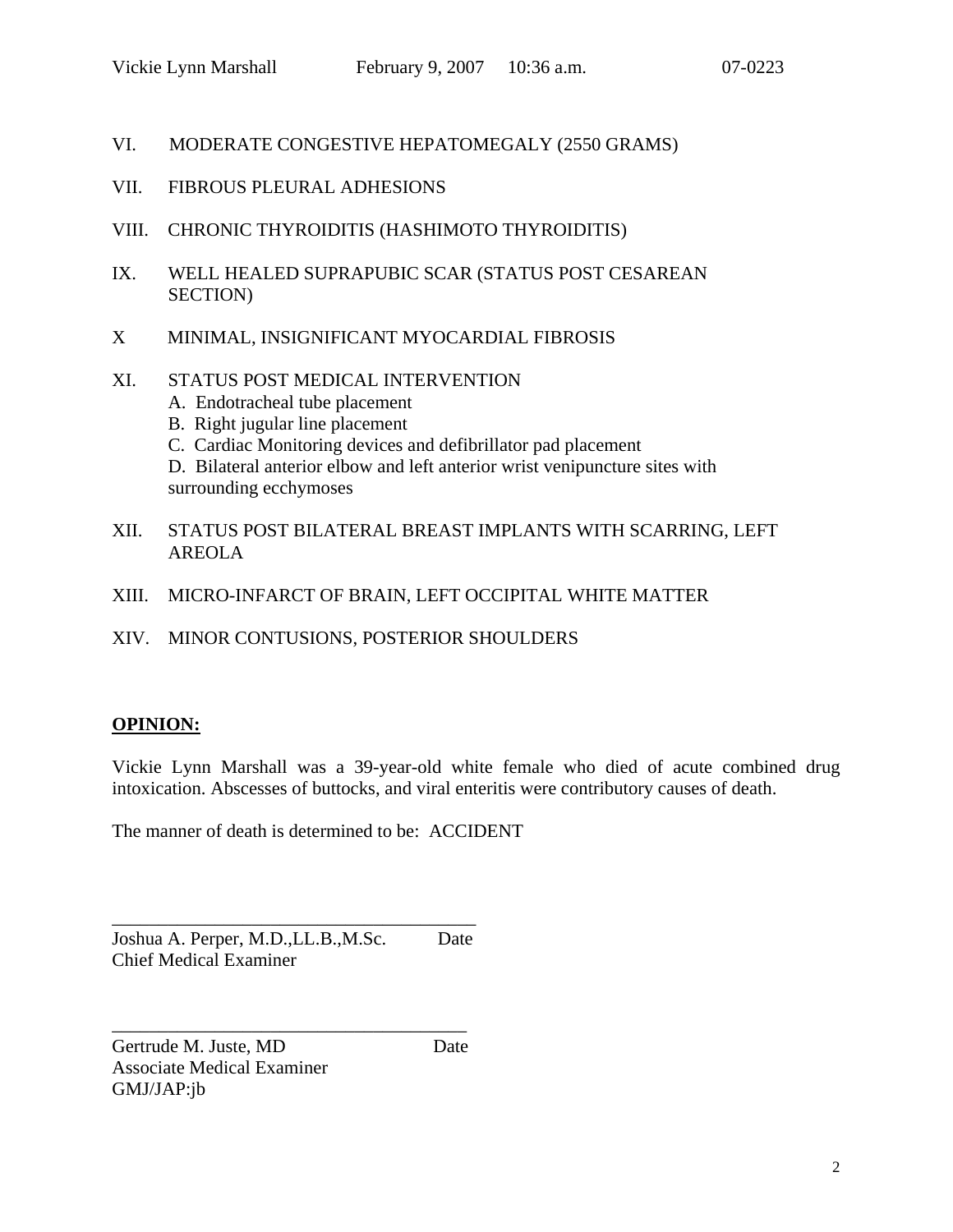- VI. MODERATE CONGESTIVE HEPATOMEGALY (2550 GRAMS)
- VII. FIBROUS PLEURAL ADHESIONS
- VIII. CHRONIC THYROIDITIS (HASHIMOTO THYROIDITIS)
- IX. WELL HEALED SUPRAPUBIC SCAR (STATUS POST CESAREAN SECTION)
- X MINIMAL, INSIGNIFICANT MYOCARDIAL FIBROSIS
- XI. STATUS POST MEDICAL INTERVENTION A. Endotracheal tube placement B. Right jugular line placement C. Cardiac Monitoring devices and defibrillator pad placement D. Bilateral anterior elbow and left anterior wrist venipuncture sites with surrounding ecchymoses
- XII. STATUS POST BILATERAL BREAST IMPLANTS WITH SCARRING, LEFT AREOLA
- XIII. MICRO-INFARCT OF BRAIN, LEFT OCCIPITAL WHITE MATTER
- XIV. MINOR CONTUSIONS, POSTERIOR SHOULDERS

## **OPINION:**

Vickie Lynn Marshall was a 39-year-old white female who died of acute combined drug intoxication. Abscesses of buttocks, and viral enteritis were contributory causes of death.

The manner of death is determined to be: ACCIDENT

Joshua A. Perper, M.D.,LL.B.,M.Sc. Date Chief Medical Examiner

\_\_\_\_\_\_\_\_\_\_\_\_\_\_\_\_\_\_\_\_\_\_\_\_\_\_\_\_\_\_\_\_\_\_\_\_\_\_

\_\_\_\_\_\_\_\_\_\_\_\_\_\_\_\_\_\_\_\_\_\_\_\_\_\_\_\_\_\_\_\_\_\_\_\_\_\_\_

Gertrude M. Juste, MD Date Associate Medical Examiner GMJ/JAP:jb

2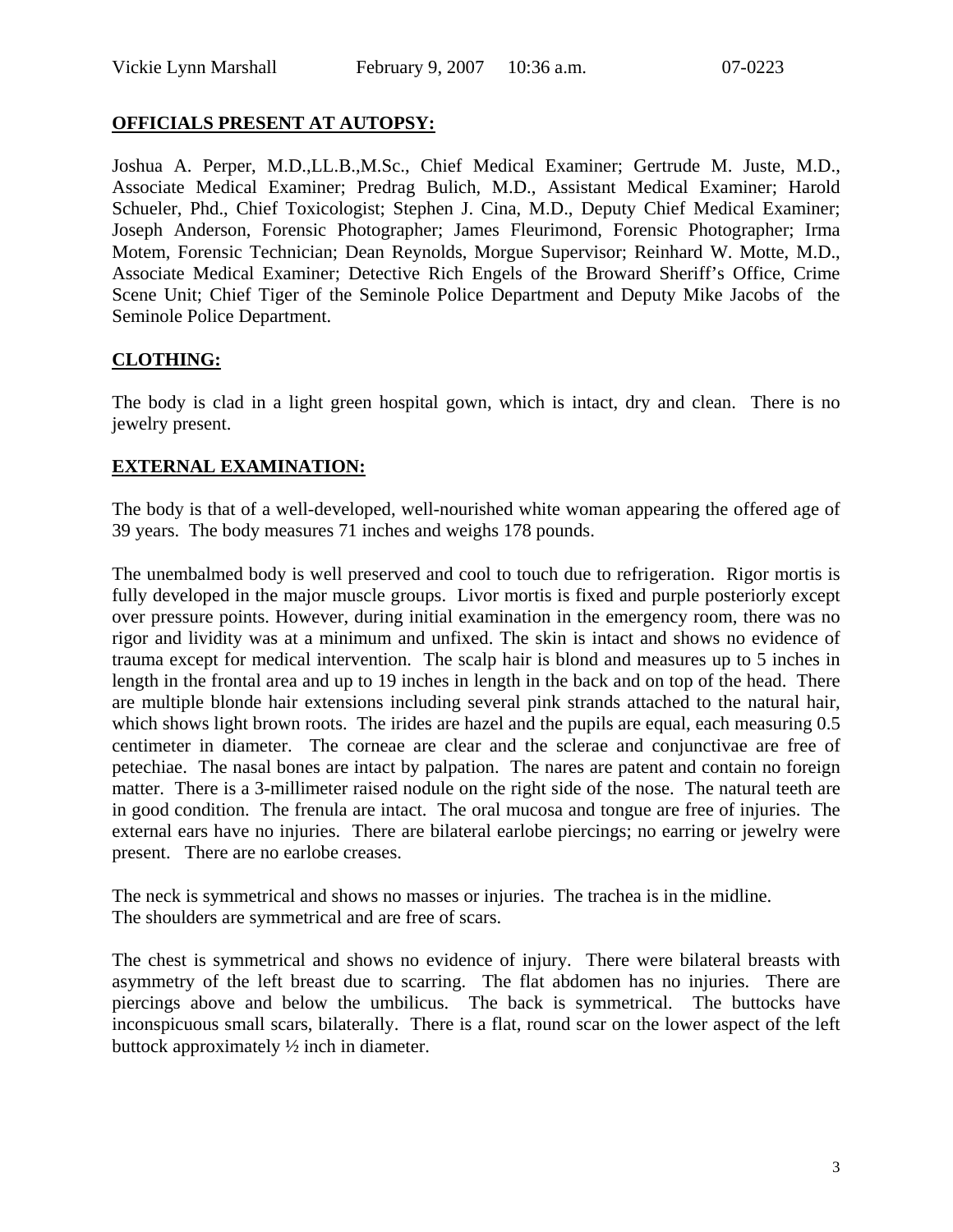### **OFFICIALS PRESENT AT AUTOPSY:**

Joshua A. Perper, M.D.,LL.B.,M.Sc., Chief Medical Examiner; Gertrude M. Juste, M.D., Associate Medical Examiner; Predrag Bulich, M.D., Assistant Medical Examiner; Harold Schueler, Phd., Chief Toxicologist; Stephen J. Cina, M.D., Deputy Chief Medical Examiner; Joseph Anderson, Forensic Photographer; James Fleurimond, Forensic Photographer; Irma Motem, Forensic Technician; Dean Reynolds, Morgue Supervisor; Reinhard W. Motte, M.D., Associate Medical Examiner; Detective Rich Engels of the Broward Sheriff's Office, Crime Scene Unit; Chief Tiger of the Seminole Police Department and Deputy Mike Jacobs of the Seminole Police Department.

# **CLOTHING:**

The body is clad in a light green hospital gown, which is intact, dry and clean. There is no jewelry present.

## **EXTERNAL EXAMINATION:**

The body is that of a well-developed, well-nourished white woman appearing the offered age of 39 years. The body measures 71 inches and weighs 178 pounds.

The unembalmed body is well preserved and cool to touch due to refrigeration. Rigor mortis is fully developed in the major muscle groups. Livor mortis is fixed and purple posteriorly except over pressure points. However, during initial examination in the emergency room, there was no rigor and lividity was at a minimum and unfixed. The skin is intact and shows no evidence of trauma except for medical intervention. The scalp hair is blond and measures up to 5 inches in length in the frontal area and up to 19 inches in length in the back and on top of the head. There are multiple blonde hair extensions including several pink strands attached to the natural hair, which shows light brown roots. The irides are hazel and the pupils are equal, each measuring  $0.5$ centimeter in diameter. The corneae are clear and the sclerae and conjunctivae are free of petechiae. The nasal bones are intact by palpation. The nares are patent and contain no foreign matter. There is a 3-millimeter raised nodule on the right side of the nose. The natural teeth are in good condition. The frenula are intact. The oral mucosa and tongue are free of injuries. The external ears have no injuries. There are bilateral earlobe piercings; no earring or jewelry were present. There are no earlobe creases.

The neck is symmetrical and shows no masses or injuries. The trachea is in the midline. The shoulders are symmetrical and are free of scars.

The chest is symmetrical and shows no evidence of injury. There were bilateral breasts with asymmetry of the left breast due to scarring. The flat abdomen has no injuries. There are piercings above and below the umbilicus. The back is symmetrical. The buttocks have inconspicuous small scars, bilaterally. There is a flat, round scar on the lower aspect of the left buttock approximately ½ inch in diameter.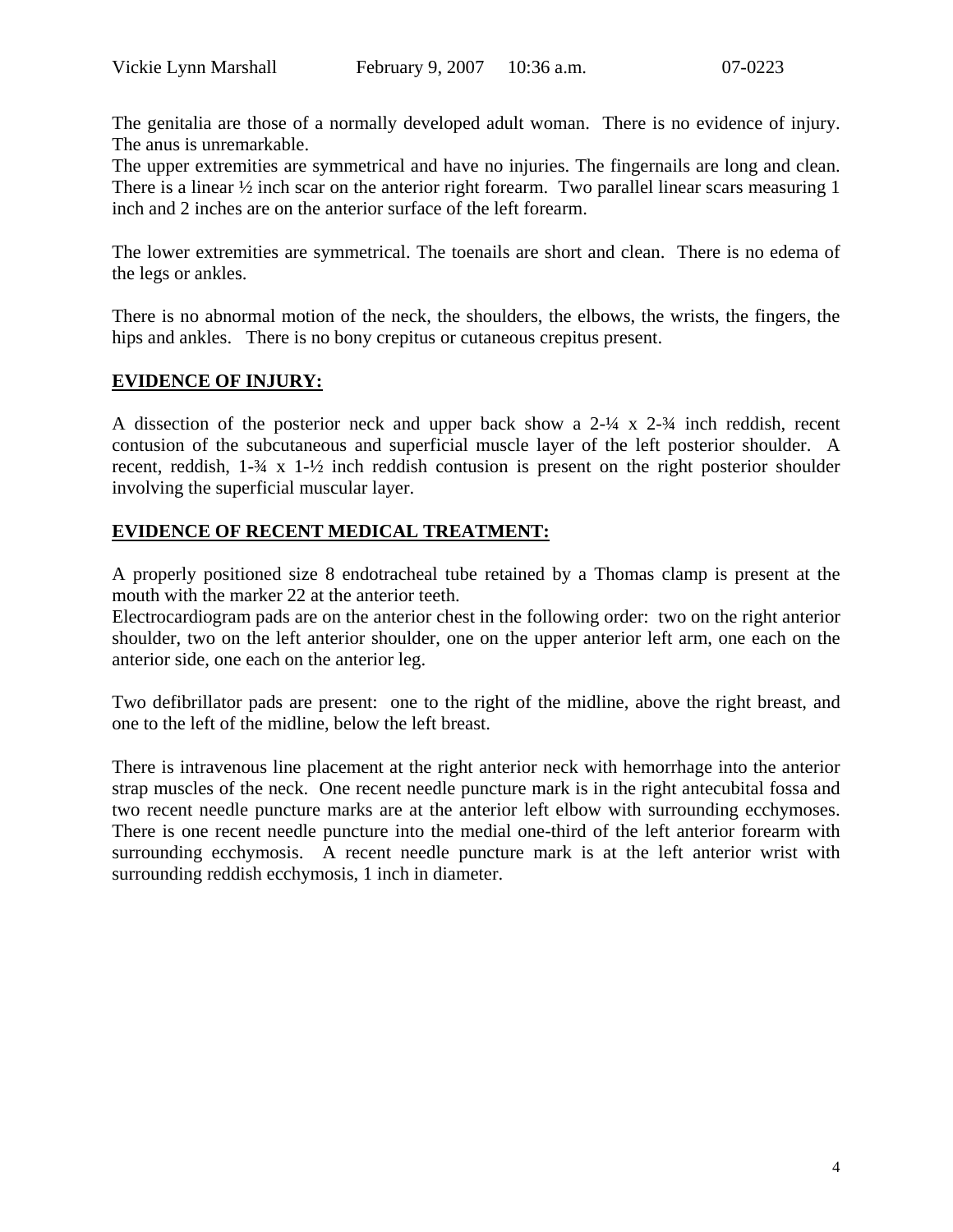The genitalia are those of a normally developed adult woman. There is no evidence of injury. The anus is unremarkable.

The upper extremities are symmetrical and have no injuries. The fingernails are long and clean. There is a linear  $\frac{1}{2}$  inch scar on the anterior right forearm. Two parallel linear scars measuring 1 inch and 2 inches are on the anterior surface of the left forearm.

The lower extremities are symmetrical. The toenails are short and clean. There is no edema of the legs or ankles.

There is no abnormal motion of the neck, the shoulders, the elbows, the wrists, the fingers, the hips and ankles. There is no bony crepitus or cutaneous crepitus present.

#### **EVIDENCE OF INJURY:**

A dissection of the posterior neck and upper back show a  $2\frac{1}{4}$  x  $2\frac{3}{4}$  inch reddish, recent contusion of the subcutaneous and superficial muscle layer of the left posterior shoulder. A recent, reddish, 1-¾ x 1-½ inch reddish contusion is present on the right posterior shoulder involving the superficial muscular layer.

## **EVIDENCE OF RECENT MEDICAL TREATMENT:**

A properly positioned size 8 endotracheal tube retained by a Thomas clamp is present at the mouth with the marker 22 at the anterior teeth.

Electrocardiogram pads are on the anterior chest in the following order: two on the right anterior shoulder, two on the left anterior shoulder, one on the upper anterior left arm, one each on the anterior side, one each on the anterior leg.

Two defibrillator pads are present: one to the right of the midline, above the right breast, and one to the left of the midline, below the left breast.

There is intravenous line placement at the right anterior neck with hemorrhage into the anterior strap muscles of the neck. One recent needle puncture mark is in the right antecubital fossa and two recent needle puncture marks are at the anterior left elbow with surrounding ecchymoses. There is one recent needle puncture into the medial one-third of the left anterior forearm with surrounding ecchymosis. A recent needle puncture mark is at the left anterior wrist with surrounding reddish ecchymosis, 1 inch in diameter.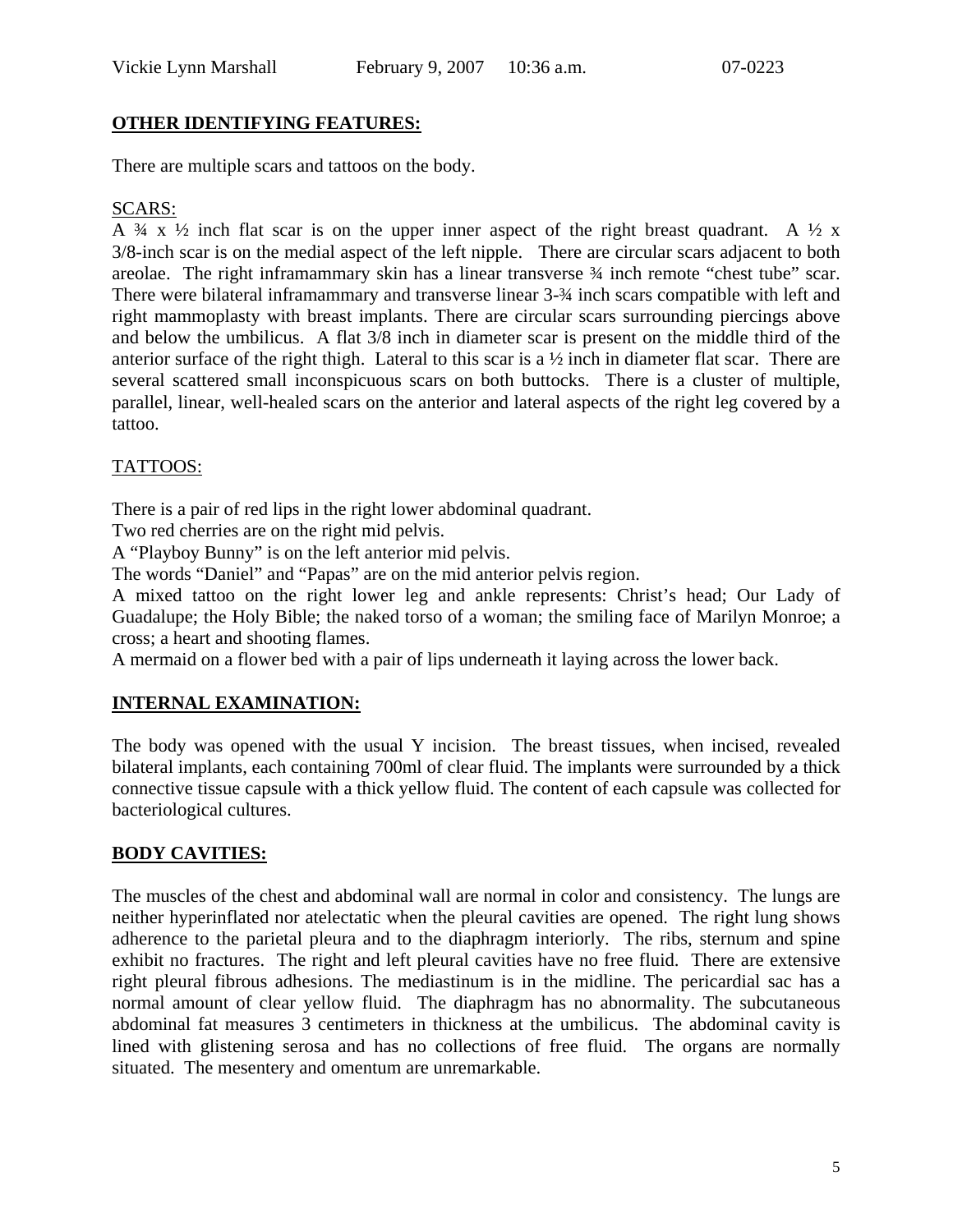### **OTHER IDENTIFYING FEATURES:**

There are multiple scars and tattoos on the body.

## SCARS:

A  $\frac{3}{4}$  x  $\frac{1}{2}$  inch flat scar is on the upper inner aspect of the right breast quadrant. A  $\frac{1}{2}$  x 3/8-inch scar is on the medial aspect of the left nipple. There are circular scars adjacent to both areolae. The right inframammary skin has a linear transverse ¾ inch remote "chest tube" scar. There were bilateral inframammary and transverse linear 3-¾ inch scars compatible with left and right mammoplasty with breast implants. There are circular scars surrounding piercings above and below the umbilicus. A flat 3/8 inch in diameter scar is present on the middle third of the anterior surface of the right thigh. Lateral to this scar is a ½ inch in diameter flat scar. There are several scattered small inconspicuous scars on both buttocks. There is a cluster of multiple, parallel, linear, well-healed scars on the anterior and lateral aspects of the right leg covered by a tattoo.

# TATTOOS:

There is a pair of red lips in the right lower abdominal quadrant.

Two red cherries are on the right mid pelvis.

A "Playboy Bunny" is on the left anterior mid pelvis.

The words "Daniel" and "Papas" are on the mid anterior pelvis region.

A mixed tattoo on the right lower leg and ankle represents: Christ's head; Our Lady of Guadalupe; the Holy Bible; the naked torso of a woman; the smiling face of Marilyn Monroe; a cross; a heart and shooting flames.

A mermaid on a flower bed with a pair of lips underneath it laying across the lower back.

## **INTERNAL EXAMINATION:**

The body was opened with the usual Y incision. The breast tissues, when incised, revealed bilateral implants, each containing 700ml of clear fluid. The implants were surrounded by a thick connective tissue capsule with a thick yellow fluid. The content of each capsule was collected for bacteriological cultures.

## **BODY CAVITIES:**

The muscles of the chest and abdominal wall are normal in color and consistency. The lungs are neither hyperinflated nor atelectatic when the pleural cavities are opened. The right lung shows adherence to the parietal pleura and to the diaphragm interiorly. The ribs, sternum and spine exhibit no fractures. The right and left pleural cavities have no free fluid. There are extensive right pleural fibrous adhesions. The mediastinum is in the midline. The pericardial sac has a normal amount of clear yellow fluid. The diaphragm has no abnormality. The subcutaneous abdominal fat measures 3 centimeters in thickness at the umbilicus. The abdominal cavity is lined with glistening serosa and has no collections of free fluid. The organs are normally situated. The mesentery and omentum are unremarkable.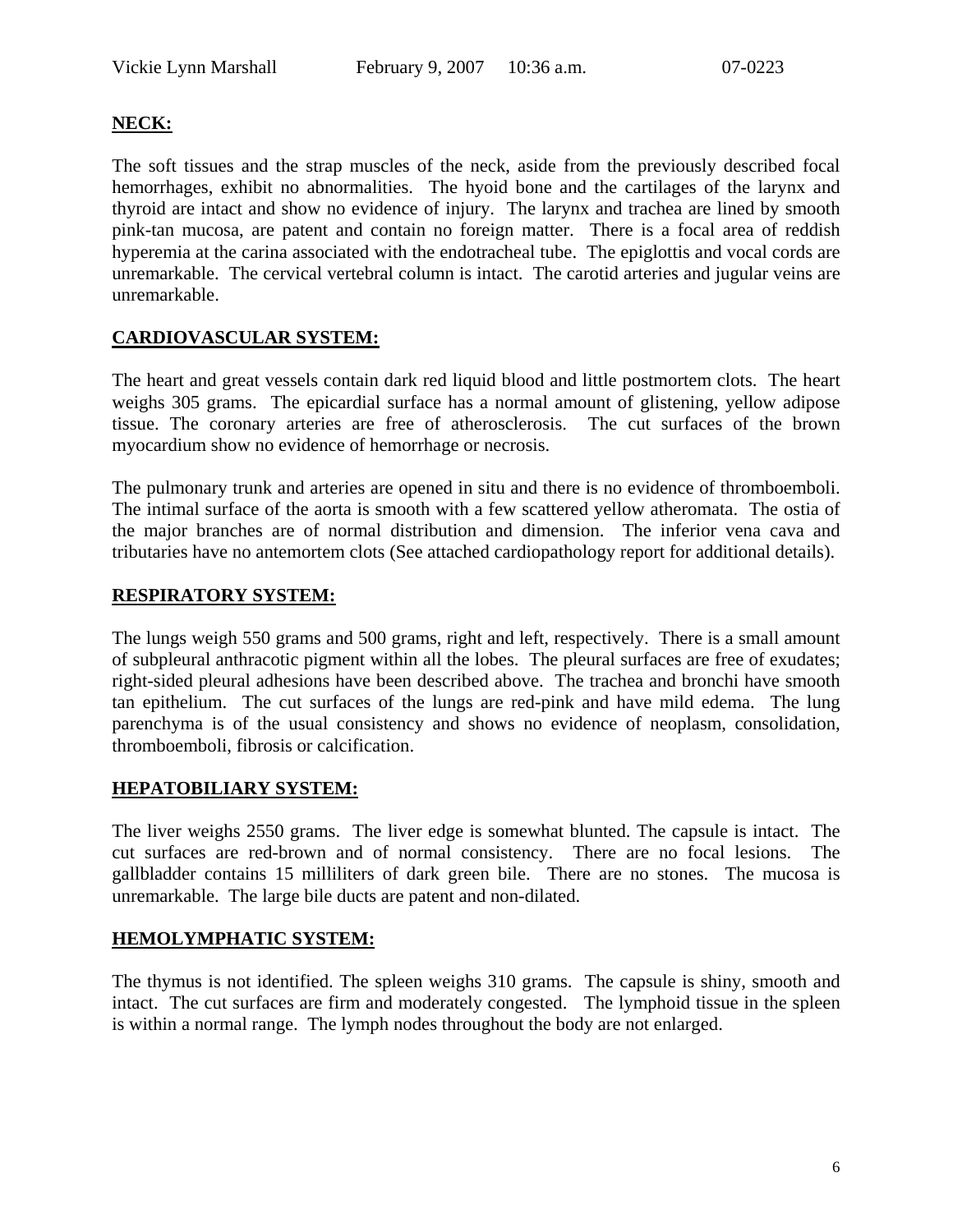### **NECK:**

The soft tissues and the strap muscles of the neck, aside from the previously described focal hemorrhages, exhibit no abnormalities. The hyoid bone and the cartilages of the larynx and thyroid are intact and show no evidence of injury. The larynx and trachea are lined by smooth pink-tan mucosa, are patent and contain no foreign matter. There is a focal area of reddish hyperemia at the carina associated with the endotracheal tube. The epiglottis and vocal cords are unremarkable. The cervical vertebral column is intact. The carotid arteries and jugular veins are unremarkable.

## **CARDIOVASCULAR SYSTEM:**

The heart and great vessels contain dark red liquid blood and little postmortem clots. The heart weighs 305 grams. The epicardial surface has a normal amount of glistening, yellow adipose tissue. The coronary arteries are free of atherosclerosis. The cut surfaces of the brown myocardium show no evidence of hemorrhage or necrosis.

The pulmonary trunk and arteries are opened in situ and there is no evidence of thromboemboli. The intimal surface of the aorta is smooth with a few scattered yellow atheromata. The ostia of the major branches are of normal distribution and dimension. The inferior vena cava and tributaries have no antemortem clots (See attached cardiopathology report for additional details).

### **RESPIRATORY SYSTEM:**

The lungs weigh 550 grams and 500 grams, right and left, respectively. There is a small amount of subpleural anthracotic pigment within all the lobes. The pleural surfaces are free of exudates; right-sided pleural adhesions have been described above. The trachea and bronchi have smooth tan epithelium. The cut surfaces of the lungs are red-pink and have mild edema. The lung parenchyma is of the usual consistency and shows no evidence of neoplasm, consolidation, thromboemboli, fibrosis or calcification.

## **HEPATOBILIARY SYSTEM:**

The liver weighs 2550 grams. The liver edge is somewhat blunted. The capsule is intact. The cut surfaces are red-brown and of normal consistency. There are no focal lesions. The gallbladder contains 15 milliliters of dark green bile. There are no stones. The mucosa is unremarkable. The large bile ducts are patent and non-dilated.

#### **HEMOLYMPHATIC SYSTEM:**

The thymus is not identified. The spleen weighs 310 grams. The capsule is shiny, smooth and intact. The cut surfaces are firm and moderately congested. The lymphoid tissue in the spleen is within a normal range. The lymph nodes throughout the body are not enlarged.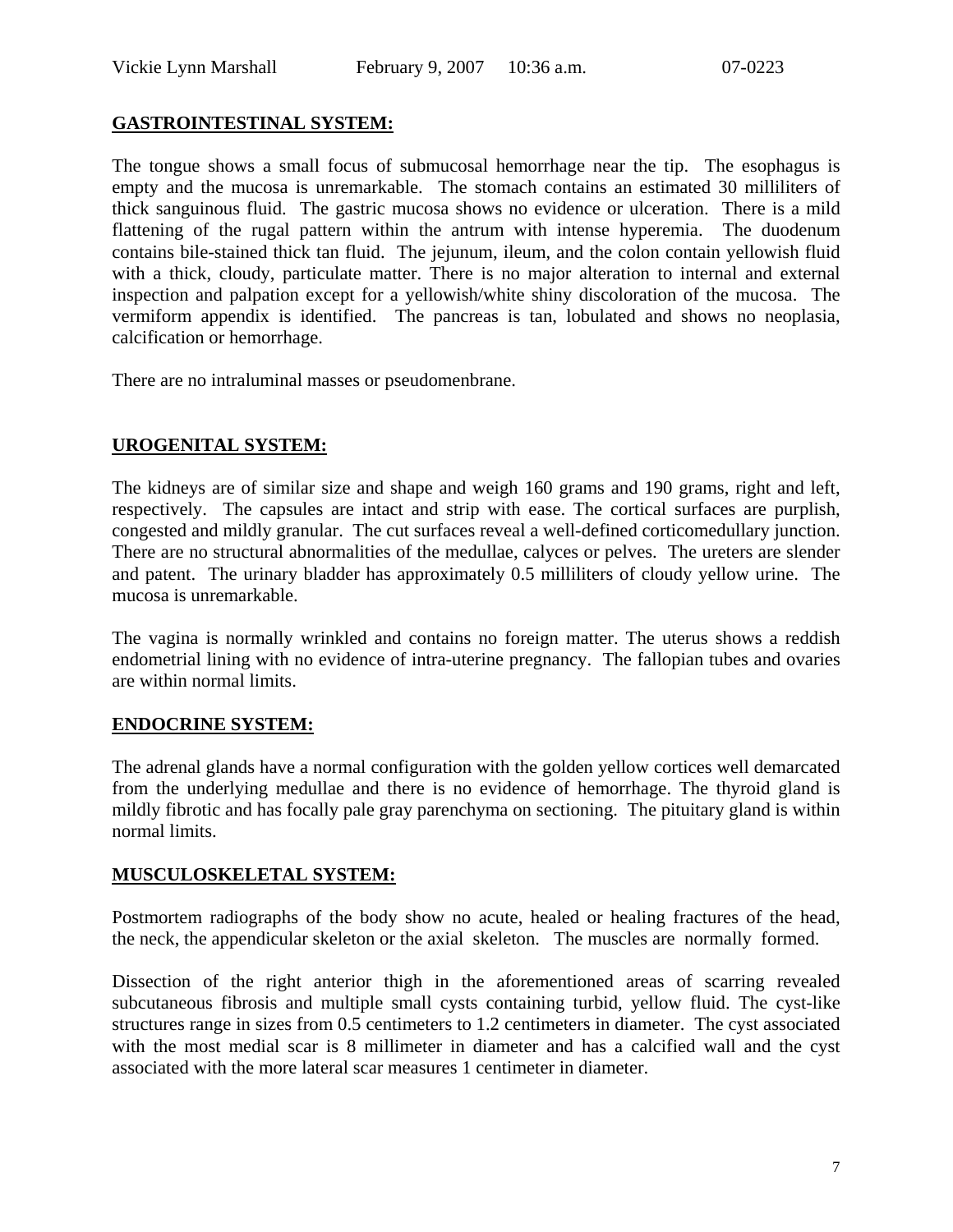### **GASTROINTESTINAL SYSTEM:**

The tongue shows a small focus of submucosal hemorrhage near the tip. The esophagus is empty and the mucosa is unremarkable. The stomach contains an estimated 30 milliliters of thick sanguinous fluid. The gastric mucosa shows no evidence or ulceration. There is a mild flattening of the rugal pattern within the antrum with intense hyperemia. The duodenum contains bile-stained thick tan fluid. The jejunum, ileum, and the colon contain yellowish fluid with a thick, cloudy, particulate matter. There is no major alteration to internal and external inspection and palpation except for a yellowish/white shiny discoloration of the mucosa. The vermiform appendix is identified. The pancreas is tan, lobulated and shows no neoplasia, calcification or hemorrhage.

There are no intraluminal masses or pseudomenbrane.

### **UROGENITAL SYSTEM:**

The kidneys are of similar size and shape and weigh 160 grams and 190 grams, right and left, respectively. The capsules are intact and strip with ease. The cortical surfaces are purplish, congested and mildly granular. The cut surfaces reveal a well-defined corticomedullary junction. There are no structural abnormalities of the medullae, calyces or pelves. The ureters are slender and patent. The urinary bladder has approximately 0.5 milliliters of cloudy yellow urine. The mucosa is unremarkable.

The vagina is normally wrinkled and contains no foreign matter. The uterus shows a reddish endometrial lining with no evidence of intra-uterine pregnancy. The fallopian tubes and ovaries are within normal limits.

## **ENDOCRINE SYSTEM:**

The adrenal glands have a normal configuration with the golden yellow cortices well demarcated from the underlying medullae and there is no evidence of hemorrhage. The thyroid gland is mildly fibrotic and has focally pale gray parenchyma on sectioning. The pituitary gland is within normal limits.

#### **MUSCULOSKELETAL SYSTEM:**

Postmortem radiographs of the body show no acute, healed or healing fractures of the head, the neck, the appendicular skeleton or the axial skeleton. The muscles are normally formed.

Dissection of the right anterior thigh in the aforementioned areas of scarring revealed subcutaneous fibrosis and multiple small cysts containing turbid, yellow fluid. The cyst-like structures range in sizes from 0.5 centimeters to 1.2 centimeters in diameter. The cyst associated with the most medial scar is 8 millimeter in diameter and has a calcified wall and the cyst associated with the more lateral scar measures 1 centimeter in diameter.